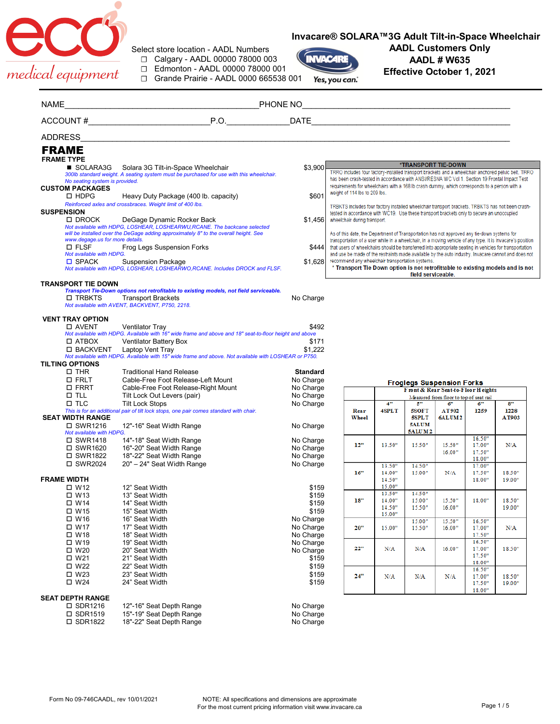

## **Invacare® SOLARA™3G Adult Tilt-in-Space Wheelchair**

Select store location - AADL Numbers ☐ Calgary - AADL 00000 78000 003

☐ Edmonton - AADL 00000 78000 001

☐ Grande Prairie - AADL 0000 665538 001



## **AADL Customers Only AADL # W635 Effective October 1, 2021**

| NAME           |                                                          |                                                                                                                                                                   |                        |                                                                                                                                    |                  |                    |                                         |                  |            |
|----------------|----------------------------------------------------------|-------------------------------------------------------------------------------------------------------------------------------------------------------------------|------------------------|------------------------------------------------------------------------------------------------------------------------------------|------------------|--------------------|-----------------------------------------|------------------|------------|
|                |                                                          |                                                                                                                                                                   |                        |                                                                                                                                    |                  |                    |                                         |                  |            |
| <b>ADDRESS</b> |                                                          |                                                                                                                                                                   |                        |                                                                                                                                    |                  |                    |                                         |                  |            |
|                | <b>FRAME</b>                                             |                                                                                                                                                                   |                        |                                                                                                                                    |                  |                    |                                         |                  |            |
|                | <b>FRAME TYPE</b>                                        |                                                                                                                                                                   |                        |                                                                                                                                    |                  |                    |                                         |                  |            |
|                | SOLARA3G                                                 | Solara 3G Tilt-in-Space Wheelchair                                                                                                                                | \$3,900                | TRRO includes four factory-installed transport brackets and a wheelchair anchored pelvic belt. TRRO                                |                  |                    | *TRANSPORT TIE-DOWN                     |                  |            |
|                |                                                          | 300lb standard weight. A seating system must be purchased for use with this wheelchair.                                                                           |                        | has been crash-tested in accordance with ANSI/RESNA WC Vol 1. Section 19 Frontal Impact Test                                       |                  |                    |                                         |                  |            |
|                | No seating system is provided.<br><b>CUSTOM PACKAGES</b> |                                                                                                                                                                   |                        | requirements for wheelchairs with a 168 lb crash dummy, which corresponds to a person with a                                       |                  |                    |                                         |                  |            |
|                | $\square$ HDPG                                           | Heavy Duty Package (400 lb. capacity)                                                                                                                             | \$601                  | weight of 114 lbs to 209 lbs.                                                                                                      |                  |                    |                                         |                  |            |
|                |                                                          | Reinforced axles and crossbraces. Weight limit of 400 lbs.                                                                                                        |                        | TRBKTS includes four factory installed wheelchair transport brackets. TRBKTS has not been crash-                                   |                  |                    |                                         |                  |            |
|                | <b>SUSPENSION</b>                                        |                                                                                                                                                                   |                        | tested in accordance with WC19. Use these transport brackets only to secure an unoccupied                                          |                  |                    |                                         |                  |            |
|                | □ DROCK                                                  | DeGage Dynamic Rocker Back                                                                                                                                        | \$1,456                | wheelchair during transport.                                                                                                       |                  |                    |                                         |                  |            |
|                |                                                          | Not available with HDPG, LOSHEAR, LOSHEARWU, RCANE. The backcane selected<br>will be installed over the DeGage adding approximately 8" to the overall height. See |                        | As of this date, the Department of Transportation has not approved any tie-down systems for                                        |                  |                    |                                         |                  |            |
|                | www.degage.us for more details.                          |                                                                                                                                                                   |                        | transportation of a user while in a wheelchair, in a moving vehicle of any type. It is Invacare's position                         |                  |                    |                                         |                  |            |
|                | $\square$ FLSF                                           | Frog Legs Suspension Forks                                                                                                                                        | \$444                  | that users of wheelchairs should be transferred into appropriate seating in vehicles for transportation                            |                  |                    |                                         |                  |            |
|                | Not available with HDPG.                                 |                                                                                                                                                                   |                        | and use be made of the restraints made available by the auto industry. Invacare cannot and does not                                |                  |                    |                                         |                  |            |
|                | $\square$ SPACK                                          | <b>Suspension Package</b>                                                                                                                                         | \$1,628                | recommend any wheelchair transportation systems.<br>* Transport Tie Down option is not retrofittable to existing models and is not |                  |                    |                                         |                  |            |
|                |                                                          | Not available with HDPG, LOSHEAR, LOSHEARWO, RCANE. Includes DROCK and FLSF.                                                                                      |                        |                                                                                                                                    |                  | field serviceable. |                                         |                  |            |
|                | <b>TRANSPORT TIE DOWN</b>                                |                                                                                                                                                                   |                        |                                                                                                                                    |                  |                    |                                         |                  |            |
|                |                                                          | Transport Tie-Down options not retrofitable to existing models, not field serviceable.                                                                            |                        |                                                                                                                                    |                  |                    |                                         |                  |            |
|                | □ TRBKTS                                                 | <b>Transport Brackets</b><br>Not available with AVENT, BACKVENT, P750, 2218.                                                                                      | No Charge              |                                                                                                                                    |                  |                    |                                         |                  |            |
|                |                                                          |                                                                                                                                                                   |                        |                                                                                                                                    |                  |                    |                                         |                  |            |
|                | <b>VENT TRAY OPTION</b>                                  |                                                                                                                                                                   |                        |                                                                                                                                    |                  |                    |                                         |                  |            |
|                | <b>D AVENT</b>                                           | <b>Ventilator Tray</b>                                                                                                                                            | \$492                  |                                                                                                                                    |                  |                    |                                         |                  |            |
|                |                                                          | Not available with HDPG. Available with 16" wide frame and above and 18" seat-to-floor height and above                                                           |                        |                                                                                                                                    |                  |                    |                                         |                  |            |
|                | $\Box$ ATBOX<br>□ BACKVENT                               | <b>Ventilator Battery Box</b>                                                                                                                                     | \$171<br>\$1,222       |                                                                                                                                    |                  |                    |                                         |                  |            |
|                |                                                          | Laptop Vent Tray<br>Not available with HDPG. Available with 15" wide frame and above. Not available with LOSHEAR or P750.                                         |                        |                                                                                                                                    |                  |                    |                                         |                  |            |
|                | <b>TILTING OPTIONS</b>                                   |                                                                                                                                                                   |                        |                                                                                                                                    |                  |                    |                                         |                  |            |
|                | $\square$ THR                                            | <b>Traditional Hand Release</b>                                                                                                                                   | <b>Standard</b>        |                                                                                                                                    |                  |                    |                                         |                  |            |
|                | <b>D FRLT</b>                                            | Cable-Free Foot Release-Left Mount                                                                                                                                | No Charge              |                                                                                                                                    |                  |                    | <b>Froglegs Suspension Forks</b>        |                  |            |
|                | <b>D FRRT</b>                                            | Cable-Free Foot Release-Right Mount                                                                                                                               | No Charge              |                                                                                                                                    |                  |                    | Front & Rear Seat-to-Floor Heights      |                  |            |
|                | $\square$ TLL                                            | Tilt Lock Out Levers (pair)                                                                                                                                       | No Charge              |                                                                                                                                    |                  |                    | Measured from floor to top of seat rail |                  |            |
|                | $\square$ TLC                                            | <b>Tilt Lock Stops</b><br>This is for an additional pair of tilt lock stops, one pair comes standard with chair.                                                  | No Charge              | Rear                                                                                                                               | 4"<br>4SPLT      | 5"<br><b>5SOFT</b> | б"<br>AT902                             | б"<br>1259       | 8"<br>1228 |
|                | <b>SEAT WIDTH RANGE</b>                                  |                                                                                                                                                                   |                        | Wheel                                                                                                                              |                  | <b>SSPLT</b>       | 6ALUM <sub>2</sub>                      |                  | AT903      |
|                | □ SWR1216                                                | 12"-16" Seat Width Range                                                                                                                                          | No Charge              |                                                                                                                                    |                  | <b>SALUM</b>       |                                         |                  |            |
|                | Not available with HDPG.                                 |                                                                                                                                                                   |                        |                                                                                                                                    |                  | <b>5ALUM2</b>      |                                         | 16.50"           |            |
|                | □ SWR1418                                                | 14"-18" Seat Width Range                                                                                                                                          | No Charge              | 12"                                                                                                                                | 13.50"           | 15.50"             | 15.50"                                  | 17.00"           | N/A        |
|                | □ SWR1620<br>□ SWR1822                                   | 16"-20" Seat Width Range<br>18"-22" Seat Width Range                                                                                                              | No Charge<br>No Charge |                                                                                                                                    |                  |                    | 16.00"                                  | 17.50"           |            |
|                | □ SWR2024                                                | 20" - 24" Seat Width Range                                                                                                                                        | No Charge              |                                                                                                                                    |                  |                    |                                         | 18.00"           |            |
|                |                                                          |                                                                                                                                                                   |                        | 16"                                                                                                                                | 13.50"<br>14.00" | 14.50"<br>15.00"   | N/A                                     | 17.00<br>17.50"  | 18.50"     |
|                | <b>FRAME WIDTH</b>                                       |                                                                                                                                                                   |                        |                                                                                                                                    | 14.50"           |                    |                                         | 18.00"           | 19.00"     |
|                | $\Box$ W12                                               | 12" Seat Width                                                                                                                                                    | \$159                  |                                                                                                                                    | 15.00"           |                    |                                         |                  |            |
|                | $\Box$ W13                                               | 13" Seat Width                                                                                                                                                    | \$159                  | 18"                                                                                                                                | 13.50"<br>14.00" | 14.50"<br>15.00"   | 15.50"                                  | 18.00"           | 18.50"     |
|                | $\Box$ W14                                               | 14" Seat Width                                                                                                                                                    | \$159                  |                                                                                                                                    | 14.50"           | 15.50"             | 16.00"                                  |                  | 19.00"     |
|                | □ W15                                                    | 15" Seat Width                                                                                                                                                    | \$159                  |                                                                                                                                    | 15.00"           |                    |                                         |                  |            |
|                | $\square$ W16<br>$\square$ W17                           | 16" Seat Width<br>17" Seat Width                                                                                                                                  | No Charge<br>No Charge |                                                                                                                                    |                  | 15.00"             | 15.50"                                  | 16.50"           |            |
|                | $\square$ W18                                            | 18" Seat Width                                                                                                                                                    | No Charge              | 20"                                                                                                                                | 15.00"           | 15.50"             | 16.00"                                  | 17.00"<br>17.50" | N/A        |
|                | $\Box$ W19                                               | 19" Seat Width                                                                                                                                                    | No Charge              |                                                                                                                                    |                  |                    |                                         | 16.50"           |            |
|                | $\square$ W20                                            | 20" Seat Width                                                                                                                                                    | No Charge              | 22"                                                                                                                                | N/A              | N/A                | 16.00"                                  | 17.00"           | 18.50"     |
|                | $\square$ W21                                            | 21" Seat Width                                                                                                                                                    | \$159                  |                                                                                                                                    |                  |                    |                                         | 17.50"           |            |
|                | $\square$ W22                                            | 22" Seat Width                                                                                                                                                    | \$159                  |                                                                                                                                    |                  |                    |                                         | 18.00"<br>16.50" |            |
|                | $\square$ W23                                            | 23" Seat Width                                                                                                                                                    | \$159                  | 24"                                                                                                                                | N/A              | N/A                | N/A                                     | 17.00"           | 18.50"     |
|                | $\square$ W24                                            | 24" Seat Width                                                                                                                                                    | \$159                  |                                                                                                                                    |                  |                    |                                         | 17.50"           | 19.00"     |
|                |                                                          |                                                                                                                                                                   |                        |                                                                                                                                    |                  |                    |                                         | 18.00"           |            |
|                |                                                          |                                                                                                                                                                   |                        |                                                                                                                                    |                  |                    |                                         |                  |            |
|                | <b>SEAT DEPTH RANGE</b>                                  |                                                                                                                                                                   |                        |                                                                                                                                    |                  |                    |                                         |                  |            |
|                | □ SDR1216<br>□ SDR1519                                   | 12"-16" Seat Depth Range<br>15"-19" Seat Depth Range                                                                                                              | No Charge<br>No Charge |                                                                                                                                    |                  |                    |                                         |                  |            |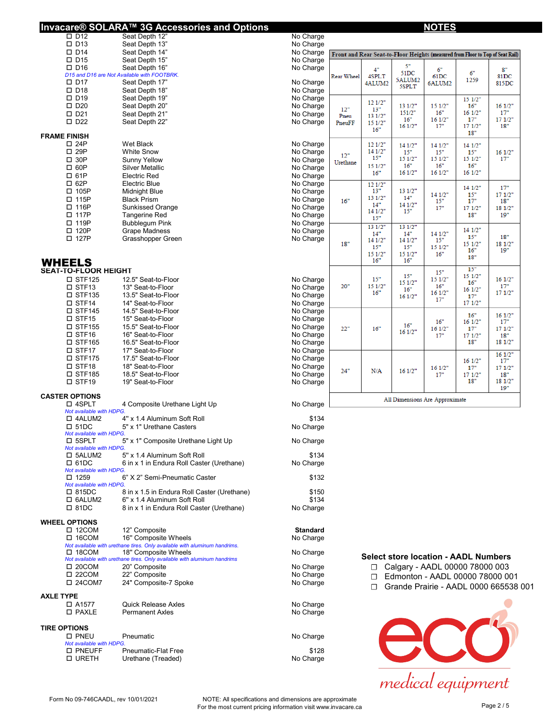| Invacare® SOLARA™ 3G Accessories and Options                                                                      |                        |                   |                |                | <u>NOTES</u>                                |                |                                                                                |
|-------------------------------------------------------------------------------------------------------------------|------------------------|-------------------|----------------|----------------|---------------------------------------------|----------------|--------------------------------------------------------------------------------|
| $\Box$ D12<br>Seat Depth 12"<br>$\square$ D13<br>Seat Depth 13"                                                   | No Charge<br>No Charge |                   |                |                |                                             |                |                                                                                |
| $\square$ D14<br>Seat Depth 14"                                                                                   | No Charge              |                   |                |                |                                             |                | Front and Rear Seat-to-Floor Heights (measured from Floor to Top of Seat Rail) |
| $\square$ D15<br>Seat Depth 15"                                                                                   | No Charge              |                   |                |                |                                             |                |                                                                                |
| $\square$ D <sub>16</sub><br>Seat Depth 16"                                                                       | No Charge              |                   | 4"             | 5"<br>51DC     | 6"                                          | 6"             | 8"                                                                             |
| D15 and D16 are Not Available with FOOTBRK.<br>$\square$ D17<br>Seat Depth 17"                                    | No Charge              | <b>Rear Wheel</b> | 4SPLT          | 5ALUM2         | 61DC                                        | 1259           | 81DC<br>815DC                                                                  |
| $\square$ D18<br>Seat Depth 18"                                                                                   | No Charge              |                   | 4ALUM2         | 5SPLT          | 6ALUM2                                      |                |                                                                                |
| $\square$ D <sub>19</sub><br>Seat Depth 19"                                                                       | No Charge              |                   |                |                |                                             | 151/2"         |                                                                                |
| $\square$ D <sub>20</sub><br>Seat Depth 20"                                                                       | No Charge              | 12"               | 121/2"<br>13"  | 13 1/2"        | 151/2"                                      | 16"            | 161/2"                                                                         |
| $\square$ D21<br>Seat Depth 21"                                                                                   | No Charge              | Pneu              | 13 1/2"        | 151/2"         | 16"                                         | 161/2"         | 17"                                                                            |
| $\square$ D22<br>Seat Depth 22"                                                                                   | No Charge              | PneuFF            | 151/2"         | 16"<br>161/2"  | 161/2"<br>17"                               | 17"<br>171/2"  | 171/2"<br>18"                                                                  |
| <b>FRAME FINISH</b>                                                                                               |                        |                   | 16"            |                |                                             | 18"            |                                                                                |
| $\square$ 24P<br>Wet Black                                                                                        | No Charge              |                   | 121/2"         | 141/2"         | 14 1/2"                                     | 141/2"         |                                                                                |
| $\square$ 29P<br><b>White Snow</b>                                                                                | No Charge              | 12"               | 14 1/2"        | 15"            | 15"                                         | 15"            | 161/2"                                                                         |
| $\square$ 30P<br>Sunny Yellow                                                                                     | No Charge              | Urethane          | 15"            | 151/2"<br>16"  | 15 1/2"<br>16"                              | 151/2"<br>16"  | 17"                                                                            |
| $\square$ 60P<br><b>Silver Metallic</b>                                                                           | No Charge              |                   | 151/2"<br>16"  | 161/2"         | 161/2"                                      | 161/2"         |                                                                                |
| □ 61P<br><b>Electric Red</b>                                                                                      | No Charge              |                   |                |                |                                             |                |                                                                                |
| $\square$ 62P<br>Electric Blue<br>□ 105P<br>Midnight Blue                                                         | No Charge<br>No Charge |                   | 12 1/2"<br>13" | 13 1/2"        |                                             | 141/2"         | 17"                                                                            |
| □ 115P<br><b>Black Prism</b>                                                                                      | No Charge              | 16"               | 13 1/2"        | 14"            | 14 1/2"<br>15"                              | 15"<br>17"     | 171/2"<br>18"                                                                  |
| □ 116P<br>Sunkissed Orange                                                                                        | No Charge              |                   | 14"            | 14 1/2"        | 17"                                         | 171/2"         | 18 1/2"                                                                        |
| □ 117P<br>Tangerine Red                                                                                           | No Charge              |                   | 14 1/2"<br>15" | 15"            |                                             | 18"            | 19"                                                                            |
| □ 119P<br><b>Bubblegum Pink</b>                                                                                   | No Charge              |                   | 13 1/2"        | 131/2"         |                                             |                |                                                                                |
| □ 120P<br><b>Grape Madness</b>                                                                                    | No Charge              |                   | 14"            | 14"            | 14 1/2"                                     | 14 1/2"<br>15" | 18"                                                                            |
| □ 127P<br>Grasshopper Green                                                                                       | No Charge              | 18"               | 141/2"<br>15"  | 14 1/2"<br>15" | 15"<br>15 1/2"                              | 151/2"         | 18 1/2"                                                                        |
|                                                                                                                   |                        |                   | 151/2"         | 15 1/2"        | 16"                                         | 16"            | 19"                                                                            |
| <b>WHEELS</b>                                                                                                     |                        |                   | 16"            | 16"            |                                             | 18"            |                                                                                |
| <b>SEAT-TO-FLOOR HEIGHT</b>                                                                                       |                        |                   |                |                | 15"                                         | 15"            |                                                                                |
| $\square$ STF125<br>12.5" Seat-to-Floor                                                                           | No Charge              |                   | 15"            | 15"<br>151/2"  | 151/2"                                      | 151/2"<br>16"  | 161/2"                                                                         |
| □ STF13<br>13" Seat-to-Floor                                                                                      | No Charge              | 20"               | 15 1/2"<br>16" | 16"            | 16"<br>161/2"                               | 161/2"         | 17"<br>171/2"                                                                  |
| $\square$ STF135<br>13.5" Seat-to-Floor                                                                           | No Charge              |                   |                | 161/2"         | 17"                                         | 17"            |                                                                                |
| □ STF14<br>14" Seat-to-Floor<br>$\square$ STF145<br>14.5" Seat-to-Floor                                           | No Charge<br>No Charge |                   |                |                |                                             | 171/2"         |                                                                                |
| $\square$ STF15<br>15" Seat-to-Floor                                                                              | No Charge              |                   |                |                |                                             | 16"            | 161/2"                                                                         |
| $\square$ STF155<br>15.5" Seat-to-Floor                                                                           | No Charge              | 22"               | 16"            | 16"            | 16"<br>161/2"                               | 161/2"<br>17"  | 17"<br>171/2"                                                                  |
| $\square$ STF16<br>16" Seat-to-Floor                                                                              | No Charge              |                   |                | 161/2"         | 17"                                         | 171/2"         | 18"                                                                            |
| $\square$ STF165<br>16.5" Seat-to-Floor                                                                           | No Charge              |                   |                |                |                                             | 18"            | 18 1/2"                                                                        |
| □ STF17<br>17" Seat-to-Floor                                                                                      | No Charge              |                   |                |                |                                             |                | 161/2"                                                                         |
| $\square$ STF175<br>17.5" Seat-to-Floor                                                                           | No Charge              |                   |                |                |                                             | 161/2"         | 17"                                                                            |
| □ STF18<br>18" Seat-to-Floor<br>$\square$ STF185<br>18.5" Seat-to-Floor                                           | No Charge<br>No Charge | 24"               | N/A            | 161/2"         | 161/2"<br>17"                               | 17"<br>171/2"  | 171/2"<br>18"                                                                  |
| $\square$ STF19<br>19" Seat-to-Floor                                                                              | No Charge              |                   |                |                |                                             | 18"            | 18 1/2"                                                                        |
|                                                                                                                   |                        |                   |                |                |                                             |                | 19"                                                                            |
| <b>CASTER OPTIONS</b><br>□ 4SPLT<br>4 Composite Urethane Light Up                                                 | No Charge              |                   |                |                | All Dimensions Are Approximate              |                |                                                                                |
| Not available with HDPG                                                                                           |                        |                   |                |                |                                             |                |                                                                                |
| $\square$ 4ALUM2<br>4" x 1.4 Aluminum Soft Roll                                                                   | \$134                  |                   |                |                |                                             |                |                                                                                |
| 5" x 1" Urethane Casters<br>$\square$ 51DC                                                                        | No Charge              |                   |                |                |                                             |                |                                                                                |
| Not available with HDPG.<br>□ 5SPLT<br>5" x 1" Composite Urethane Light Up                                        | No Charge              |                   |                |                |                                             |                |                                                                                |
| Not available with HDPG.                                                                                          |                        |                   |                |                |                                             |                |                                                                                |
| $\square$ 5ALUM2<br>5" x 1.4 Aluminum Soft Roll                                                                   | \$134                  |                   |                |                |                                             |                |                                                                                |
| $\square$ 61DC<br>6 in x 1 in Endura Roll Caster (Urethane)<br>Not available with HDPG.                           | No Charge              |                   |                |                |                                             |                |                                                                                |
| $\square$ 1259<br>6" X 2" Semi-Pneumatic Caster                                                                   | \$132                  |                   |                |                |                                             |                |                                                                                |
| Not available with HDPG.                                                                                          |                        |                   |                |                |                                             |                |                                                                                |
| □ 815DC<br>8 in x 1.5 in Endura Roll Caster (Urethane)                                                            | \$150                  |                   |                |                |                                             |                |                                                                                |
| □ 6ALUM2<br>6" x 1.4 Aluminum Soft Roll<br>$\square$ 81DC<br>8 in x 1 in Endura Roll Caster (Urethane)            | \$134                  |                   |                |                |                                             |                |                                                                                |
|                                                                                                                   | No Charge              |                   |                |                |                                             |                |                                                                                |
| <b>WHEEL OPTIONS</b>                                                                                              |                        |                   |                |                |                                             |                |                                                                                |
| $\square$ 12COM<br>12" Composite                                                                                  | <b>Standard</b>        |                   |                |                |                                             |                |                                                                                |
| $\Box$ 16COM<br>16" Composite Wheels<br>Not available with urethane tires. Only available with aluminum handrims. | No Charge              |                   |                |                |                                             |                |                                                                                |
| $\square$ 18COM<br>18" Composite Wheels                                                                           | No Charge              |                   |                |                |                                             |                |                                                                                |
| Not available with urethane tires. Only available with aluminum handrims                                          |                        |                   |                |                | <b>Select store location - AADL Numbers</b> |                |                                                                                |
| $\square$ 20COM<br>20" Composite                                                                                  | No Charge              |                   | □              |                | Calgary - AADL 00000 78000 003              |                |                                                                                |
| $\square$ 22COM<br>22" Composite                                                                                  | No Charge              |                   | □              |                | Edmonton - AADL 00000 78000 001             |                |                                                                                |
| 24" Composite-7 Spoke<br>□ 24COM7                                                                                 | No Charge              |                   | □              |                |                                             |                | Grande Prairie - AADL 0000 665538 001                                          |
| <b>AXLE TYPE</b>                                                                                                  |                        |                   |                |                |                                             |                |                                                                                |
| <b>Quick Release Axles</b><br>□ A1577                                                                             | No Charge              |                   |                |                |                                             |                |                                                                                |
| □ PAXLE<br><b>Permanent Axles</b>                                                                                 | No Charge              |                   |                |                |                                             |                |                                                                                |
| <b>TIRE OPTIONS</b>                                                                                               |                        |                   |                |                |                                             |                |                                                                                |
| <b>D PNEU</b><br>Pneumatic                                                                                        | No Charge              |                   |                |                |                                             |                |                                                                                |
| Not available with HDPG.                                                                                          |                        |                   |                |                |                                             |                |                                                                                |
| <b>O PNEUFF</b><br><b>Pneumatic-Flat Free</b>                                                                     | \$128                  |                   |                |                |                                             |                |                                                                                |
| <b>O URETH</b><br>Urethane (Treaded)                                                                              | No Charge              |                   |                |                |                                             |                |                                                                                |

Form No 09-746CAADL, rev 10/01/2021 NOTE: All specifications and dimensions are approximate<br>For the most current pricing information visit www.invacare.ca Page 2 / 5

medical equipment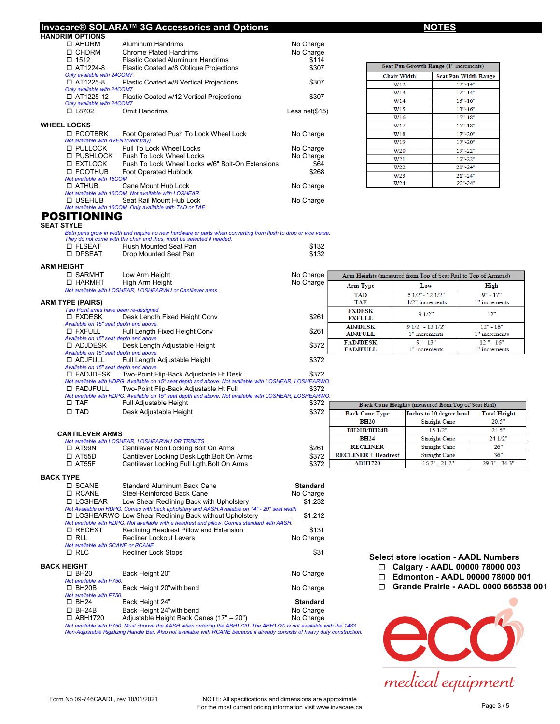#### **Invacare® SOLARA™ 3G Accessories and Options NOTES HANDRIM OPTIONS**

| □ AHDRM                             | Aluminum Handrims                                         | No Charge        |
|-------------------------------------|-----------------------------------------------------------|------------------|
| □ CHDRM                             | <b>Chrome Plated Handrims</b>                             | No Charge        |
| $\Box$ 1512                         | <b>Plastic Coated Aluminum Handrims</b>                   | \$114            |
| $\Box$ AT1224-8                     | Plastic Coated w/8 Oblique Projections                    | \$307            |
| Only available with 24COM7.         |                                                           |                  |
| 口 AT1225-8                          | Plastic Coated w/8 Vertical Projections                   | \$307            |
| Only available with 24COM7.         |                                                           |                  |
| 口 AT1225-12                         | Plastic Coated w/12 Vertical Projections                  | \$307            |
| Only available with 24COM7.         |                                                           |                  |
| □ L8702                             | Omit Handrims                                             | Less net $($15)$ |
|                                     |                                                           |                  |
| <b>WHEEL LOCKS</b>                  |                                                           |                  |
| <b>O FOOTBRK</b>                    | Foot Operated Push To Lock Wheel Lock                     | No Charge        |
| Not available with AVENT(vent tray) |                                                           |                  |
| □ PULLOCK                           | <b>Pull To Lock Wheel Locks</b>                           | No Charge        |
| □ PUSHLOCK                          | Push To Lock Wheel Locks                                  | No Charge        |
| □ EXTLOCK                           | Push To Lock Wheel Locks w/6" Bolt-On Extensions          | \$64             |
| <b>O FOOTHUB</b>                    | Foot Operated Hublock                                     | \$268            |
| Not available with 16COM            |                                                           |                  |
| <b>D ATHUB</b>                      | Cane Mount Hub Lock                                       | No Charge        |
|                                     | Not available with 16COM. Not available with LOSHEAR.     |                  |
| □ USEHUB                            | Seat Rail Mount Hub Lock                                  | No Charge        |
|                                     | Not available with 16COM. Only available with TAD or TAF. |                  |
| OSITIONING                          |                                                           |                  |

| Seat Pan Growth Range (1" increments) |                             |  |  |  |
|---------------------------------------|-----------------------------|--|--|--|
| <b>Chair Width</b>                    | <b>Seat Pan Width Range</b> |  |  |  |
| W12                                   | $12" - 14"$                 |  |  |  |
| W <sub>13</sub>                       | $12" - 14"$                 |  |  |  |
| W14                                   | $13" - 16"$                 |  |  |  |
| W15                                   | $13" - 16"$                 |  |  |  |
| W <sub>16</sub>                       | $15" - 18"$                 |  |  |  |
| W17                                   | $15" - 18"$                 |  |  |  |
| W18                                   | $17" - 20"$                 |  |  |  |
| W19                                   | $17" - 20"$                 |  |  |  |
| W <sub>20</sub>                       | $19" - 22"$                 |  |  |  |
| W <sub>21</sub>                       | $19" - 22"$                 |  |  |  |
| W22                                   | $21" - 24"$                 |  |  |  |
| W <sub>23</sub>                       | $21" - 24"$                 |  |  |  |
| W24                                   | $23" - 24"$                 |  |  |  |

# POSITIONING **SEAT STYLE**

*Both pans grow in width and require no new hardware or parts when converting from flush to drop or vice versa.*

|          | They do not come with the chair and thus, must be selected if needed. |       |
|----------|-----------------------------------------------------------------------|-------|
| □ FLSEAT | Flush Mounted Seat Pan                                                | \$132 |
| □ DPSEAT | Drop Mounted Seat Pan                                                 | \$132 |
|          |                                                                       |       |

#### **ARM HEIGHT**

| AWI 1169111                                         |                                                                                                        |           |                 |                                                               |               |
|-----------------------------------------------------|--------------------------------------------------------------------------------------------------------|-----------|-----------------|---------------------------------------------------------------|---------------|
| □ SARMHT                                            | Low Arm Height                                                                                         | No Charge |                 | Arm Heights (measured from Top of Seat Rail to Top of Armpad) |               |
| <b>D HARMHT</b>                                     | High Arm Height                                                                                        | No Charge | <b>Arm Type</b> | Low                                                           | High          |
|                                                     | Not available with LOSHEAR, LOSHEARWU or Cantilever arms.                                              |           | <b>TAD</b>      | 6 1/2"-12 1/2"                                                | $9" - 17"$    |
| <b>ARM TYPE (PAIRS)</b>                             |                                                                                                        |           | <b>TAF</b>      | $1/2$ " increments                                            | 1" increments |
|                                                     | Two Point arms have been re-designed.                                                                  |           | <b>FXDESK</b>   | $91/2$ "                                                      | 12"           |
| $\square$ FXDESK                                    | Desk Length Fixed Height Conv                                                                          | \$261     | <b>FXFULL</b>   |                                                               |               |
| Available on 15" seat depth and above.              |                                                                                                        |           | <b>ADJDESK</b>  | $91/2" - 131/2"$                                              | $12" - 16"$   |
| $\square$ FXFULL                                    | Full Length Fixed Height Conv                                                                          | \$261     | <b>ADJFULL</b>  | 1" increments                                                 | 1" increments |
| Available on 15" seat depth and above.<br>□ ADJDESK | Desk Length Adjustable Height                                                                          | \$372     | <b>FADJDESK</b> | $9" - 13"$                                                    | $12" - 16"$   |
| Available on 15" seat depth and above.              |                                                                                                        |           | <b>FADJFULL</b> | 1" increments                                                 | 1" increments |
| □ ADJFULL                                           | Full Length Adjustable Height                                                                          | \$372     |                 |                                                               |               |
| Available on 15" seat depth and above.              |                                                                                                        |           |                 |                                                               |               |
| $\square$ FADJDESK                                  | Two-Point Flip-Back Adjustable Ht Desk                                                                 | \$372     |                 |                                                               |               |
|                                                     | Not available with HDPG. Available on 15" seat depth and above. Not available with LOSHEAR, LOSHEARWO. |           |                 |                                                               |               |
| $\square$ FADJFULL                                  | Two-Point Flip-Back Adjustable Ht Full                                                                 | \$372     |                 |                                                               |               |
|                                                     | Not available with HDPG. Available on 15" seat depth and above. Not available with LOSHEAR, LOSHEARWO. |           |                 |                                                               |               |
| $\square$ TAF                                       | Full Adjustable Height                                                                                 | \$372     |                 | Back Cane Heights (measured from Top of Seat Rail)            |               |
|                                                     |                                                                                                        |           |                 |                                                               |               |

| $\square$ TAD          | Desk Adjustable Height                           | \$372 | <b>Back Cane Type</b>      | Inches to 10 degree bend | <b>Total Height</b> |
|------------------------|--------------------------------------------------|-------|----------------------------|--------------------------|---------------------|
|                        |                                                  |       | <b>BH20</b>                | <b>Straight Cane</b>     | 20.5"               |
| <b>CANTILEVER ARMS</b> |                                                  |       | <b>BH20B/BH24B</b>         | 151/2"                   | 24.5"               |
|                        | Not available with LOSHEAR, LOSHEARWU OR TRBKTS. |       | <b>BH24</b>                | <b>Straight Cane</b>     | 241/2"              |
| $\Box$ AT99N           | Cantilever Non Locking Bolt On Arms              | \$261 | <b>RECLINER</b>            | <b>Straight Cane</b>     | 26"                 |
| $\Box$ AT55D           | Cantilever Locking Desk Lgth. Bolt On Arms       | \$372 | <b>RECLINER + Headrest</b> | <b>Straight Cane</b>     | 36"                 |
| $\Box$ AT55F           | Cantilever Locking Full Lgth. Bolt On Arms       | \$372 | <b>ABH1720</b>             | $16.2" - 21.2"$          | $29.3" - 34.3"$     |

#### **BACK TYPE**

| □ SCANE                            | Standard Aluminum Back Cane                                                                    | <b>Standard</b> |
|------------------------------------|------------------------------------------------------------------------------------------------|-----------------|
| $\Box$ RCANE                       | Steel-Reinforced Back Cane                                                                     | No Charge       |
| □ LOSHEAR                          | Low Shear Reclining Back with Upholstery                                                       | \$1,232         |
|                                    | Not Available on HDPG. Comes with back upholstery and AASH. Available on 14" - 20" seat width. |                 |
|                                    | □ LOSHEARWO Low Shear Reclining Back without Upholstery                                        | \$1,212         |
|                                    | Not available with HDPG. Not available with a headrest and pillow. Comes standard with AASH.   |                 |
| □ RECEXT                           | Reclining Headrest Pillow and Extension                                                        | \$131           |
| $\Box$ RLL                         | <b>Recliner Lockout Levers</b>                                                                 | No Charge       |
| Not available with SCANE or RCANE. |                                                                                                |                 |
| $\square$ RLC                      | <b>Recliner Lock Stops</b>                                                                     | \$31            |
| <b>BACK HEIGHT</b>                 |                                                                                                |                 |
| $\square$ BH20                     | Back Height 20"                                                                                | No Charge       |
| Not available with P750.           |                                                                                                |                 |
| $\square$ BH20B                    | Back Height 20" with bend                                                                      | No Charge       |
| Not available with P750.           |                                                                                                |                 |
| $\square$ BH24                     | Back Height 24"                                                                                | <b>Standard</b> |
| $\square$ BH24B                    | Back Height 24" with bend                                                                      | No Charge       |
| □ ABH1720                          | Adjustable Height Back Canes (17" – 20")                                                       | No Charge       |

□ ABH1720 Adjustable Height Back Canes (17" – 20") No Charge<br>Not available with P750. Must choose the AASH when ordering the ABH1720. The ABH1720 is not available with the 1483<br>Non-Adjustable Rigidizing Handle Bar. Also n

## **Select store location - AADL Numbers**

- **☐ Calgary AADL 00000 78000 003**
- **☐ Edmonton AADL 00000 78000 001**
- **☐ Grande Prairie AADL 0000 665538 001**

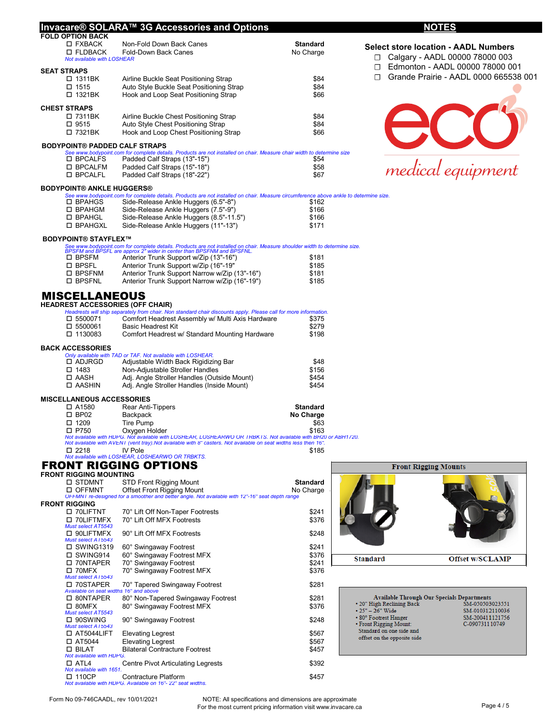|                                                      | Invacare® SOLARA™ 3G Accessories and Options                                                                                                                                                        |                 | <b>NOTES</b>                                                                            |
|------------------------------------------------------|-----------------------------------------------------------------------------------------------------------------------------------------------------------------------------------------------------|-----------------|-----------------------------------------------------------------------------------------|
| <b>FOLD OPTION BACK</b><br>□ FXBACK                  | Non-Fold Down Back Canes                                                                                                                                                                            | <b>Standard</b> |                                                                                         |
| <b>II FLDBACK</b><br>Not available with LOSHEAR      | Fold-Down Back Canes                                                                                                                                                                                | No Charge       | <b>Select store location - AADL Numbers</b><br>Calgary - AADL 00000 78000 003<br>$\Box$ |
| <b>SEAT STRAPS</b>                                   |                                                                                                                                                                                                     |                 | Edmonton - AADL 00000 78000 001<br>$\Box$<br>Grande Prairie - AADL 0000 665538 001<br>П |
| □ 1311BK<br>□ 1515                                   | Airline Buckle Seat Positioning Strap<br>Auto Style Buckle Seat Positioning Strap                                                                                                                   | \$84<br>\$84    |                                                                                         |
| □ 1321BK                                             | Hook and Loop Seat Positioning Strap                                                                                                                                                                | \$66            |                                                                                         |
|                                                      |                                                                                                                                                                                                     |                 |                                                                                         |
| <b>CHEST STRAPS</b><br>□ 7311BK                      | Airline Buckle Chest Positioning Strap                                                                                                                                                              | \$84            |                                                                                         |
| □ 9515                                               | Auto Style Chest Positioning Strap                                                                                                                                                                  | \$84            |                                                                                         |
| □ 7321BK                                             | Hook and Loop Chest Positioning Strap                                                                                                                                                               | \$66            |                                                                                         |
| <b>BODYPOINT® PADDED CALF STRAPS</b>                 |                                                                                                                                                                                                     |                 |                                                                                         |
| □ BPCALFS                                            | See www.bodypoint.com for complete details. Products are not installed on chair. Measure chair width to determine size<br>Padded Calf Straps (13"-15")                                              | \$54            |                                                                                         |
| □ BPCALFM                                            | Padded Calf Straps (15"-18")                                                                                                                                                                        | \$58            |                                                                                         |
| □ BPCALFL                                            | Padded Calf Straps (18"-22")                                                                                                                                                                        | \$67            | medical equipment                                                                       |
| <b>BODYPOINT® ANKLE HUGGERS®</b>                     |                                                                                                                                                                                                     |                 |                                                                                         |
|                                                      | See www.bodypoint.com for complete details. Products are not installed on chair. Measure circumference above ankle to determine size.                                                               |                 |                                                                                         |
| □ BPAHGS<br>□ BPAHGM                                 | Side-Release Ankle Huggers (6.5"-8")<br>Side-Release Ankle Huggers (7.5"-9")                                                                                                                        | \$162<br>\$166  |                                                                                         |
| □ BPAHGL                                             | Side-Release Ankle Huggers (8.5"-11.5")                                                                                                                                                             | \$166           |                                                                                         |
| □ BPAHGXL                                            | Side-Release Ankle Huggers (11"-13")                                                                                                                                                                | \$171           |                                                                                         |
| <b>BODYPOINT® STAYFLEX™</b>                          |                                                                                                                                                                                                     |                 |                                                                                         |
|                                                      | See www.bodypoint.com for complete details. Products are not installed on chair. Measure shoulder width to determine size.<br>BPSFM and BPSFL are approx 2" wider in center than BPSFNM and BPSFNL. |                 |                                                                                         |
| □ BPSFM                                              | Anterior Trunk Support w/Zip (13"-16")                                                                                                                                                              | \$181           |                                                                                         |
| □ BPSFL                                              | Anterior Trunk Support w/Zip (16"-19"                                                                                                                                                               | \$185           |                                                                                         |
| □ BPSFNM                                             | Anterior Trunk Support Narrow w/Zip (13"-16")                                                                                                                                                       | \$181           |                                                                                         |
| □ BPSFNL                                             | Anterior Trunk Support Narrow w/Zip (16"-19")                                                                                                                                                       | \$185           |                                                                                         |
| <b>MISCELLANEOUS</b>                                 |                                                                                                                                                                                                     |                 |                                                                                         |
| <b>HEADREST ACCESSORIES (OFF CHAIR)</b>              |                                                                                                                                                                                                     |                 |                                                                                         |
| □ 5500071                                            | Headrests will ship separately from chair. Non standard chair discounts apply. Please call for more information.<br>Comfort Headrest Assembly w/ Multi Axis Hardware                                | \$375           |                                                                                         |
| □ 5500061                                            | <b>Basic Headrest Kit</b>                                                                                                                                                                           | \$279           |                                                                                         |
| □ 1130083                                            | Comfort Headrest w/ Standard Mounting Hardware                                                                                                                                                      | \$198           |                                                                                         |
| <b>BACK ACCESSORIES</b>                              |                                                                                                                                                                                                     |                 |                                                                                         |
|                                                      | Only available with TAD or TAF. Not available with LOSHEAR.                                                                                                                                         |                 |                                                                                         |
| □ ADJRGD<br>$\square$ 1483                           | Adjustable Width Back Rigidizing Bar<br>Non-Adjustable Stroller Handles                                                                                                                             | \$48<br>\$156   |                                                                                         |
| □ AASH                                               | Adj. Angle Stroller Handles (Outside Mount)                                                                                                                                                         | \$454           |                                                                                         |
| □ AASHIN                                             | Adj. Angle Stroller Handles (Inside Mount)                                                                                                                                                          | \$454           |                                                                                         |
| <b>MISCELLANEOUS ACCESSORIES</b>                     |                                                                                                                                                                                                     |                 |                                                                                         |
| □ A1580                                              | Rear Anti-Tippers                                                                                                                                                                                   | <b>Standard</b> |                                                                                         |
| $\square$ BP02                                       | Backpack                                                                                                                                                                                            | No Charge       |                                                                                         |
| $\square$ 1209<br>□ P750                             | <b>Tire Pump</b><br>Oxygen Holder                                                                                                                                                                   | \$63<br>\$163   |                                                                                         |
|                                                      | Not available with HDPG. Not available with LOSHEAR, LOSHEARWO OR TRBKTS. Not available with BH20 or ABH1720.                                                                                       |                 |                                                                                         |
| $\square$ 2218                                       | Not available with AVENT (vent tray). Not available with 8" casters. Not available on seat widths less then 16".<br>IV Pole                                                                         | \$185           |                                                                                         |
|                                                      | Not available with LOSHEAR, LOSHEARWO OR TRBKTS.                                                                                                                                                    |                 |                                                                                         |
|                                                      | <b>FRONT RIGGING OPTIONS</b>                                                                                                                                                                        |                 | <b>Front Rigging Mounts</b>                                                             |
| <b>FRONT RIGGING MOUNTING</b><br>□ STDMNT            | <b>STD Front Rigging Mount</b>                                                                                                                                                                      | <b>Standard</b> |                                                                                         |
| □ OFFMNT                                             | <b>Offset Front Rigging Mount</b>                                                                                                                                                                   | No Charge       |                                                                                         |
|                                                      | OFFMNT re-designed for a smoother and better angle. Not available with 12"-16" seat depth range                                                                                                     |                 |                                                                                         |
| <b>FRONT RIGGING</b><br>□ 70LIFTNT                   | 70° Lift Off Non-Taper Footrests                                                                                                                                                                    | \$241           |                                                                                         |
| □ 70LIFTMFX                                          | 70° Lift Off MFX Footrests                                                                                                                                                                          | \$376           |                                                                                         |
| Must select AT5543                                   |                                                                                                                                                                                                     |                 |                                                                                         |
| □ 90LIFTMFX<br>Must select AT5543                    | 90° Lift Off MFX Footrests                                                                                                                                                                          | \$248           |                                                                                         |
| □ SWING1319                                          | 60° Swingaway Footrest                                                                                                                                                                              | \$241           |                                                                                         |
| □ SWING914                                           | 60° Swingaway Footrest MFX                                                                                                                                                                          | \$376           | <b>Standard</b><br><b>Offset w/SCLAMP</b>                                               |
| □ 70NTAPER<br>$\Box$ 70MFX                           | 70° Swingaway Footrest<br>70° Swingaway Footrest MFX                                                                                                                                                | \$241<br>\$376  |                                                                                         |
| Must select AT5543                                   |                                                                                                                                                                                                     |                 |                                                                                         |
| □ 70STAPER<br>Available on seat widths 16" and above | 70° Tapered Swingaway Footrest                                                                                                                                                                      | \$281           |                                                                                         |
| □ 80NTAPER                                           | 80° Non-Tapered Swingaway Footrest                                                                                                                                                                  | \$281           | <b>Available Through Our Specials Departments</b>                                       |
| $\Box$ 80MFX                                         | 80° Swingaway Footrest MFX                                                                                                                                                                          | \$376           | • 20" High Reclining Back<br>SM-050503023551<br>$• 25" - 26"$ Wide<br>SM-010312110036   |
| Must select A15543<br>$\square$ 90SWING              | 90° Swingaway Footrest                                                                                                                                                                              | \$248           | • 80° Footrest Hanger<br>SM-200411121756                                                |
| Must select AT5543                                   |                                                                                                                                                                                                     |                 | • Front Rigging Mount:<br>C-090731110749<br>Standard on one side and                    |
| $\Box$ AT5044LIFT                                    | <b>Elevating Legrest</b>                                                                                                                                                                            | \$567           | offset on the opposite side                                                             |
| $\Box$ AT5044<br>$\square$ BILAT                     | <b>Elevating Legrest</b><br><b>Bilateral Contracture Footrest</b>                                                                                                                                   | \$567<br>\$457  |                                                                                         |
| Not available with HDPG.                             |                                                                                                                                                                                                     |                 |                                                                                         |
| $\Box$ ATL4<br>Not available with 1651.              | <b>Centre Pivot Articulating Legrests</b>                                                                                                                                                           | \$392           |                                                                                         |
| $\square$ 110CP                                      | Contracture Platform                                                                                                                                                                                | \$457           |                                                                                         |
|                                                      | Not available with HDPG. Available on 16"- 22" seat widths.                                                                                                                                         |                 |                                                                                         |